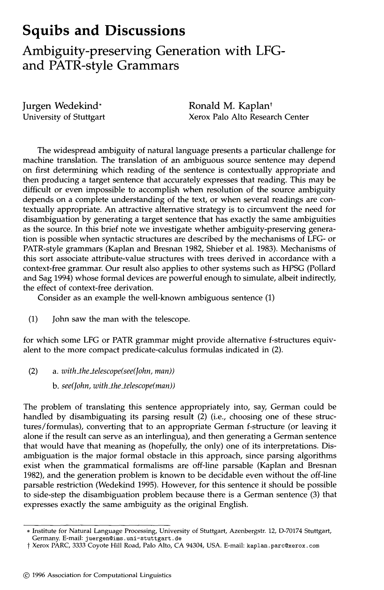## **Squibs and Discussions**

**Ambiguity-preserving Generation with LFGand PATR-style Grammars** 

Jurgen Wedekind\* University of Stuttgart Ronald M. Kaplan<sup>t</sup> Xerox Palo Alto Research Center

The widespread ambiguity of natural language presents a particular challenge for machine translation. The translation of an ambiguous source sentence may depend on first determining which reading of the sentence is contextually appropriate and then producing a target sentence that accurately expresses that reading. This may be difficult or even impossible to accomplish when resolution of the source ambiguity depends on a complete understanding of the text, or when several readings are contextually appropriate. An attractive alternative strategy is to circumvent the need for disambiguation by generating a target sentence that has exactly the same ambiguities as the source. In this brief note we investigate whether ambiguity-preserving generation is possible when syntactic structures are described by the mechanisms of LFG- or PATR-style grammars (Kaplan and Bresnan 1982, Shieber et al. 1983). Mechanisms of this sort associate attribute-value structures with trees derived in accordance with a context-free grammar. Our result also applies to other systems such as HPSG (Pollard and Sag 1994) whose formal devices are powerful enough to simulate, albeit indirectly, the effect of context-free derivation.

Consider as an example the well-known ambiguous sentence (1)

(1) John saw the man with the telescope.

for which some LFG or PATR grammar might provide alternative f-structures equivalent to the more compact predicate-calculus formulas indicated in (2).

- (2) *a. with\_the\_telescope(see(John, man))* 
	- *b. see(John, with\_the\_telescope(man))*

The problem of translating this sentence appropriately into, say, German could be handled by disambiguating its parsing result (2) (i.e., choosing one of these structures/formulas), converting that to an appropriate German f-structure (or leaving it alone if the result can serve as an interlingua), and then generating a German sentence that would have that meaning as (hopefully, the only) one of its interpretations. Disambiguation is the major formal obstacle in this approach, since parsing algorithms exist when the grammatical formalisms are off-line parsable (Kaplan and Bresnan 1982), and the generation problem is known to be decidable even without the off-line parsable restriction (Wedekind 1995). However, for this sentence it should be possible to side-step the disambiguation problem because there is a German sentence (3) that expresses exactly the same ambiguity as the original English.

<sup>\*</sup> Institute for Natural Language Processing, University of Stuttgart, Azenbergstr. 12, D-70174 Stuttgart, Germany. E-mail: juergen@ims.uni-stuttgart.de

<sup>†</sup> Xerox PARC, 3333 Coyote Hill Road, Palo Alto, CA 94304, USA. E-mail: kaplan.parc@xerox.com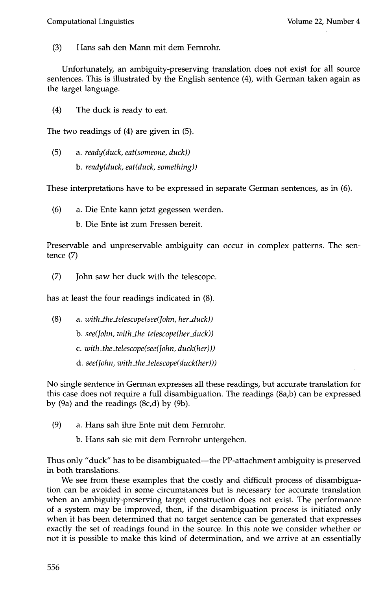(3) Hans sah den Mann rnit dem Fernrohr.

Unfortunately, an ambiguity-preserving translation does not exist for all source sentences. This is illustrated by the English sentence (4), with German taken again as the target language.

(4) The duck is ready to eat.

The two readings of (4) are given in (5).

(5) a. *ready(duck, eat(someone, duck)) b. ready(duck, eat(duck, something))* 

These interpretations have to be expressed in separate German sentences, as in (6).

(6) a. Die Ente kann jetzt gegessen werden.

b. Die Ente ist zum Fressen bereit.

Preservable and unpreservable ambiguity can occur in complex patterns. The sentence (7)

(7) John saw her duck with the telescope.

has at least the four readings indicated in (8).

(8) a. *with\_the\_telescope(see(John, her\_duck)) b. see(John, with\_the\_telescope(her duck)) c. with\_the\_telescope(see(John, duck(her))) d. see(John, with\_the\_telescope(duck(her)))* 

No single sentence in German expresses all these readings, but accurate translation for this case does not require a full disambiguation. The readings (8a,b) can be expressed by (9a) and the readings (8c,d) by (9b).

- (9) a. Hans sah ihre Ente mit dem Fernrohr.
	- b. Hans sah sie mit dem Fernrohr untergehen.

Thus only "duck" has to be disambiguated—the PP-attachment ambiguity is preserved in both translations.

We see from these examples that the costly and difficult process of disambiguation can be avoided in some circumstances but is necessary for accurate translation when an ambiguity-preserving target construction does not exist. The performance of a system may be improved, then, if the disambiguation process is initiated only when it has been determined that no target sentence can be generated that expresses exactly the set of readings found in the source. In this note we consider whether or not it is possible to make this kind of determination, and we arrive at an essentially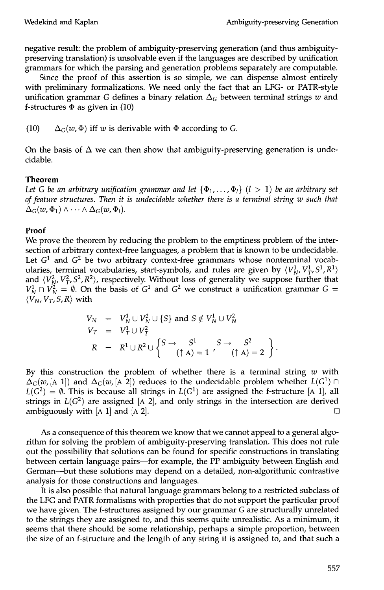negative result: the problem of ambiguity-preserving generation (and thus ambiguitypreserving translation) is unsolvable even if the languages are described by unification grammars for which the parsing and generation problems separately are computable.

Since the proof of this assertion is so simple, we can dispense almost entirely with preliminary formalizations. We need only the fact that an LFG- or PATR-style unification grammar G defines a binary relation  $\Delta_G$  between terminal strings w and f-structures  $\Phi$  as given in (10)

(10)  $\Delta_G(w, \Phi)$  iff w is derivable with  $\Phi$  according to G.

On the basis of  $\Delta$  we can then show that ambiguity-preserving generation is undecidable.

## **Theorem**

Let G be an arbitrary unification grammar and let  $\{\Phi_1, \ldots, \Phi_l\}$   $(l > 1)$  be an arbitrary set *of feature structures. Then it is undecidable whether there is a terminal string w such that*   $\Delta_G(w, \Phi_1) \wedge \cdots \wedge \Delta_G(w, \Phi_l).$ 

## **Proof**

We prove the theorem by reducing the problem to the emptiness problem of the intersection of arbitrary context-free languages, a problem that is known to be undecidable. Let  $G<sup>1</sup>$  and  $G<sup>2</sup>$  be two arbitrary context-free grammars whose nonterminal vocabularies, terminal vocabularies, start-symbols, and rules are given by  $\langle V_{N}^{1}, V_{T}^{1}, S^{1}, R^{1} \rangle$ and  $\langle V_N^2, V_T^2, S^2, R^2 \rangle$ , respectively. Without loss of generality we suppose further that  $V^1_N \cap V^2_N = \emptyset$ . On the basis of  $G^1$  and  $G^2$  we construct a unification grammar  $G =$  $\langle V_N, V_T, S, R \rangle$  with

$$
V_N = V_N^1 \cup V_N^2 \cup \{S\} \text{ and } S \notin V_N^1 \cup V_N^2
$$
  
\n
$$
V_T = V_T^1 \cup V_T^2
$$
  
\n
$$
R = R^1 \cup R^2 \cup \left\{ S \rightarrow S^1 \rightarrow S \rightarrow S^2 \rightarrow (S^2 \rightarrow R^2) \rightarrow (S^2 \rightarrow R^2) \rightarrow (S^2 \rightarrow R^2) \rightarrow (S^2 \rightarrow R^2) \rightarrow (S^2 \rightarrow R^2) \rightarrow (S^2 \rightarrow R^2) \rightarrow (S^2 \rightarrow R^2) \rightarrow (S^2 \rightarrow R^2) \rightarrow (S^2 \rightarrow R^2) \rightarrow (S^2 \rightarrow R^2) \rightarrow (S^2 \rightarrow R^2) \rightarrow (S^2 \rightarrow R^2) \rightarrow (S^2 \rightarrow R^2) \rightarrow (S^2 \rightarrow R^2) \rightarrow (S^2 \rightarrow R^2) \rightarrow (S^2 \rightarrow R^2) \rightarrow (S^2 \rightarrow R^2) \rightarrow (S^2 \rightarrow R^2) \rightarrow (S^2 \rightarrow R^2) \rightarrow (S^2 \rightarrow R^2) \rightarrow (S^2 \rightarrow R^2) \rightarrow (S^2 \rightarrow R^2) \rightarrow (S^2 \rightarrow R^2) \rightarrow (S^2 \rightarrow R^2) \rightarrow (S^2 \rightarrow R^2) \rightarrow (S^2 \rightarrow R^2) \rightarrow (S^2 \rightarrow R^2) \rightarrow (S^2 \rightarrow R^2) \rightarrow (S^2 \rightarrow R^2) \rightarrow (S^2 \rightarrow R^2) \rightarrow (S^2 \rightarrow R^2) \rightarrow (S^2 \rightarrow R^2) \rightarrow (S^2 \rightarrow R^2) \rightarrow (S^2 \rightarrow R^2) \rightarrow (S^2 \rightarrow R^2) \rightarrow (S^2 \rightarrow R^2) \rightarrow (S^2 \rightarrow R^2) \rightarrow (S^2 \rightarrow R^2) \rightarrow (S^2 \rightarrow R^2) \rightarrow (S^2 \rightarrow R^2) \rightarrow (S^2 \rightarrow R^2) \rightarrow (S^2 \rightarrow R^2) \rightarrow (S^2 \rightarrow R^2) \rightarrow (S^2 \rightarrow R^2) \rightarrow (S^2 \rightarrow R^2) \rightarrow (S^2 \rightarrow R^2) \rightarrow (S^2 \rightarrow R^2) \rightarrow (S^2 \rightarrow R^2) \rightarrow (S^2 \rightarrow R^2) \rightarrow (S^2 \rightarrow R^2) \rightarrow (S^2 \rightarrow R^2) \rightarrow (S^2 \rightarrow R^2) \rightarrow (S^2 \rightarrow R^2) \rightarrow (S^2 \rightarrow R^2) \rightarrow (S^2
$$

By this construction the problem of whether there is a terminal string  $w$  with  $\Delta_G(w, [A \ 1])$  and  $\Delta_G(w, [A \ 2])$  reduces to the undecidable problem whether  $L(G^1) \cap$  $L(G^2) = \emptyset$ . This is because all strings in  $L(G^1)$  are assigned the f-structure [A 1], all strings in  $L(G^2)$  are assigned [A 2], and only strings in the intersection are derived ambiguously with [A 1] and [A 2].  $\square$ 

As a consequence of this theorem we know that we cannot appeal to a general algorithm for solving the problem of ambiguity-preserving translation. This does not rule out the possibility that solutions can be found for specific constructions in translating between certain language pairs--for example, the PP ambiguity between English and German--but these solutions may depend on a detailed, non-algorithmic contrastive analysis for those constructions and languages.

It is also possible that natural language grammars belong to a restricted subclass of the LFG and PATR formalisms with properties that do not support the particular proof we have given. The f-structures assigned by our grammar G are structurally unrelated to the strings they are assigned to, and this seems quite unrealistic. As a minimum, it seems that there should be some relationship, perhaps a simple proportion, between the size of an f-structure and the length of any string it is assigned to, and that such a